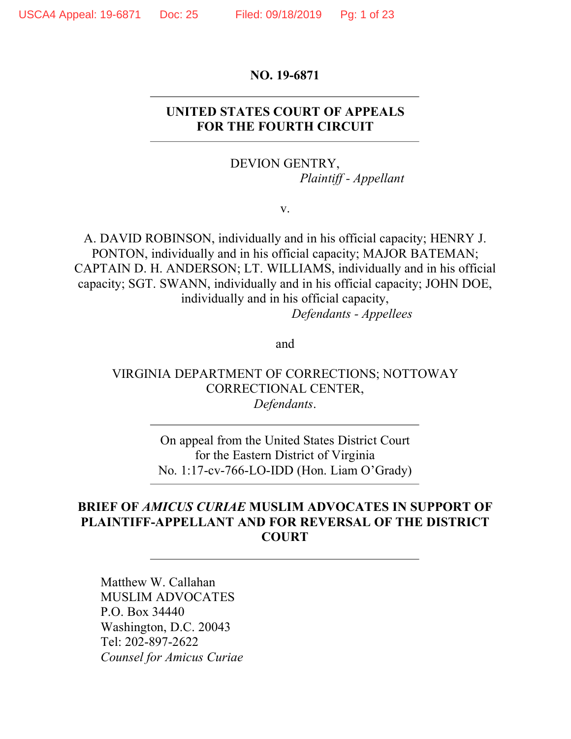#### **NO. 19-6871**

## **UNITED STATES COURT OF APPEALS FOR THE FOURTH CIRCUIT**

DEVION GENTRY, *Plaintiff - Appellant*

v.

A. DAVID ROBINSON, individually and in his official capacity; HENRY J. PONTON, individually and in his official capacity; MAJOR BATEMAN; CAPTAIN D. H. ANDERSON; LT. WILLIAMS, individually and in his official capacity; SGT. SWANN, individually and in his official capacity; JOHN DOE, individually and in his official capacity,

*Defendants - Appellees*

and

## VIRGINIA DEPARTMENT OF CORRECTIONS; NOTTOWAY CORRECTIONAL CENTER, *Defendants*.

On appeal from the United States District Court for the Eastern District of Virginia No. 1:17-cv-766-LO-IDD (Hon. Liam O'Grady)

## **BRIEF OF** *AMICUS CURIAE* **MUSLIM ADVOCATES IN SUPPORT OF PLAINTIFF-APPELLANT AND FOR REVERSAL OF THE DISTRICT COURT**

Matthew W. Callahan MUSLIM ADVOCATES P.O. Box 34440 Washington, D.C. 20043 Tel: 202-897-2622 *Counsel for Amicus Curiae*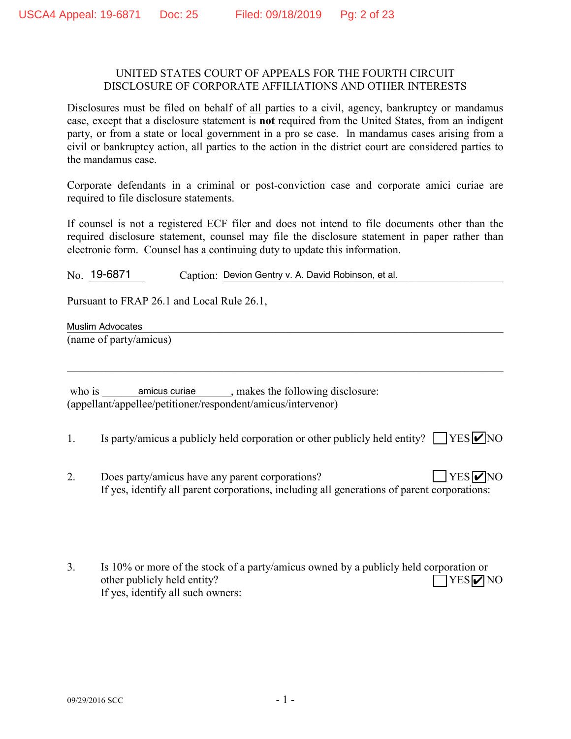#### UNITED STATES COURT OF APPEALS FOR THE FOURTH CIRCUIT DISCLOSURE OF CORPORATE AFFILIATIONS AND OTHER INTERESTS

Disclosures must be filed on behalf of all parties to a civil, agency, bankruptcy or mandamus case, except that a disclosure statement is **not** required from the United States, from an indigent party, or from a state or local government in a pro se case. In mandamus cases arising from a civil or bankruptcy action, all parties to the action in the district court are considered parties to the mandamus case.

Corporate defendants in a criminal or post-conviction case and corporate amici curiae are required to file disclosure statements.

If counsel is not a registered ECF filer and does not intend to file documents other than the required disclosure statement, counsel may file the disclosure statement in paper rather than electronic form. Counsel has a continuing duty to update this information.

No. 19-6871 Caption: Devion Gentry v. A. David Robinson, et al.

Pursuant to FRAP 26.1 and Local Rule 26.1,

Muslim Advocates **Muslim Advocates Muslim Advocates Muslim Advocates Muslim Advocates** 

(name of party/amicus)

 who is \_\_\_\_\_\_\_\_\_\_\_\_\_\_\_\_\_\_\_\_\_\_\_, makes the following disclosure: amicus curiae (appellant/appellee/petitioner/respondent/amicus/intervenor)

1. Is party/amicus a publicly held corporation or other publicly held entity?  $\Box$  YES  $\Box$  NO

 $\mathcal{L}_\mathcal{L} = \{ \mathcal{L}_\mathcal{L} = \{ \mathcal{L}_\mathcal{L} = \{ \mathcal{L}_\mathcal{L} = \{ \mathcal{L}_\mathcal{L} = \{ \mathcal{L}_\mathcal{L} = \{ \mathcal{L}_\mathcal{L} = \{ \mathcal{L}_\mathcal{L} = \{ \mathcal{L}_\mathcal{L} = \{ \mathcal{L}_\mathcal{L} = \{ \mathcal{L}_\mathcal{L} = \{ \mathcal{L}_\mathcal{L} = \{ \mathcal{L}_\mathcal{L} = \{ \mathcal{L}_\mathcal{L} = \{ \mathcal{L}_\mathcal{$ 

- 2. Does party/amicus have any parent corporations? If yes, identify all parent corporations, including all generations of parent corporations:  $YES$   $\triangledown$  NO
- 3. Is 10% or more of the stock of a party/amicus owned by a publicly held corporation or other publicly held entity? If yes, identify all such owners:  $\Box$ YES $\nabla$ NO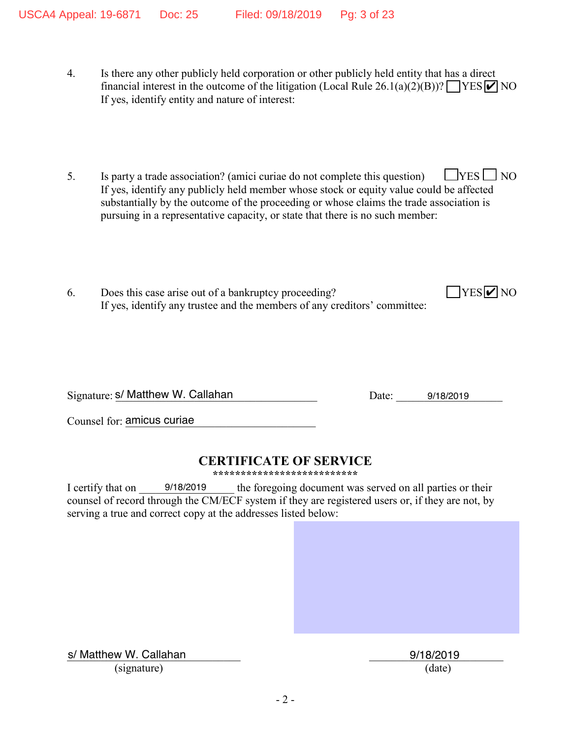- 4. Is there any other publicly held corporation or other publicly held entity that has a direct financial interest in the outcome of the litigation (Local Rule 26.1(a)(2)(B))?  $\Box$  YES  $\Box$  NO If yes, identify entity and nature of interest:
- 5. Is party a trade association? (amici curiae do not complete this question)  $\Box$  YES  $\Box$  NO If yes, identify any publicly held member whose stock or equity value could be affected substantially by the outcome of the proceeding or whose claims the trade association is pursuing in a representative capacity, or state that there is no such member:
- 6. Does this case arise out of a bankruptcy proceeding? If yes, identify any trustee and the members of any creditors' committee:

Signature: S/ Matthew W. Callahan Based Controllers and the Callahan Date: 19/18/2019

 $YES$   $\vee$  NO

Counsel for: amicus curiae

## **CERTIFICATE OF SERVICE**

**\*\*\*\*\*\*\*\*\*\*\*\*\*\*\*\*\*\*\*\*\*\*\*\*\*\***

I certify that on  $9/18/2019$  the foregoing document was served on all parties or their counsel of record through the CM/ECF system if they are registered users or, if they are not, by serving a true and correct copy at the addresses listed below: 9/18/2019

s/ Matthew W. Callahan 2008 2018/2019 (signature) (date)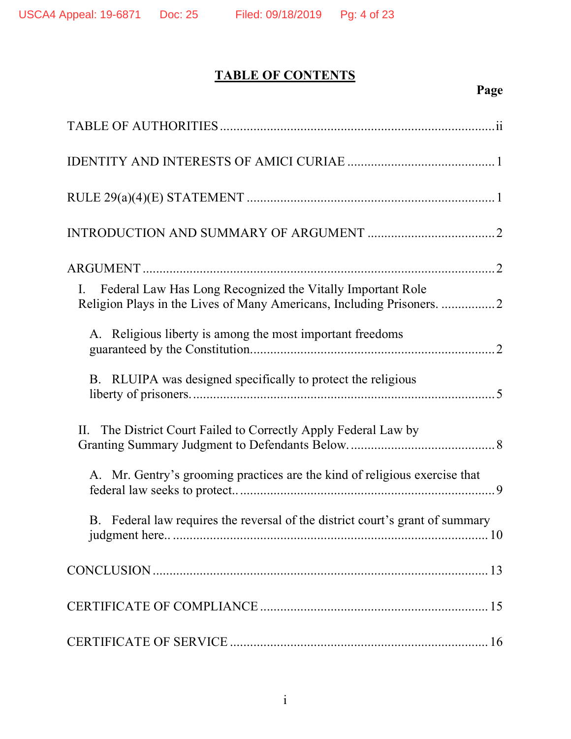# **TABLE OF CONTENTS**

# **Page**

| Federal Law Has Long Recognized the Vitally Important Role<br>$\rm{L}$        |
|-------------------------------------------------------------------------------|
| A. Religious liberty is among the most important freedoms                     |
| B. RLUIPA was designed specifically to protect the religious                  |
| The District Court Failed to Correctly Apply Federal Law by<br>II.            |
| A. Mr. Gentry's grooming practices are the kind of religious exercise that    |
| B. Federal law requires the reversal of the district court's grant of summary |
|                                                                               |
|                                                                               |
|                                                                               |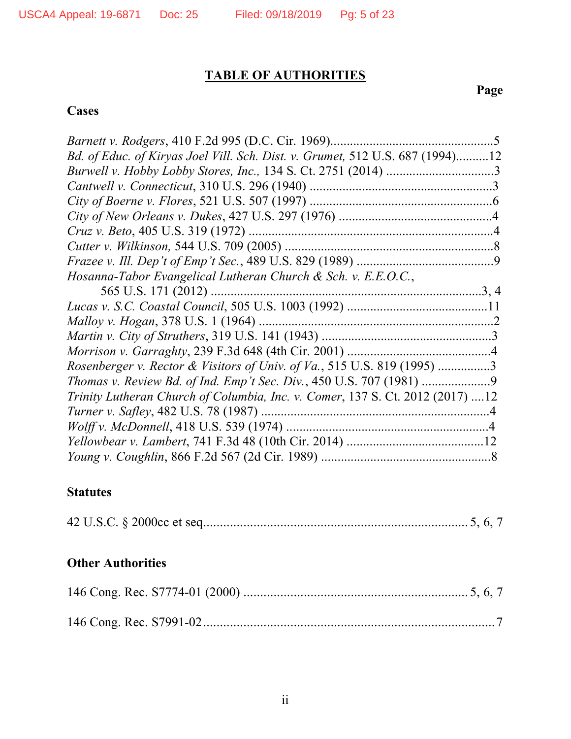# **TABLE OF AUTHORITIES**

# **Page**

# **Cases**

| Bd. of Educ. of Kiryas Joel Vill. Sch. Dist. v. Grumet, 512 U.S. 687 (1994)12 |  |
|-------------------------------------------------------------------------------|--|
|                                                                               |  |
|                                                                               |  |
|                                                                               |  |
|                                                                               |  |
| Cruz v. Beto, 405 U.S. 319 (1972)                                             |  |
|                                                                               |  |
|                                                                               |  |
| Hosanna-Tabor Evangelical Lutheran Church & Sch. v. E.E.O.C.,                 |  |
|                                                                               |  |
|                                                                               |  |
|                                                                               |  |
|                                                                               |  |
|                                                                               |  |
| Rosenberger v. Rector & Visitors of Univ. of Va., 515 U.S. 819 (1995) 3       |  |
|                                                                               |  |
| Trinity Lutheran Church of Columbia, Inc. v. Comer, 137 S. Ct. 2012 (2017) 12 |  |
|                                                                               |  |
|                                                                               |  |
|                                                                               |  |
|                                                                               |  |

## **Statutes**

|--|--|--|--|

## **Other Authorities**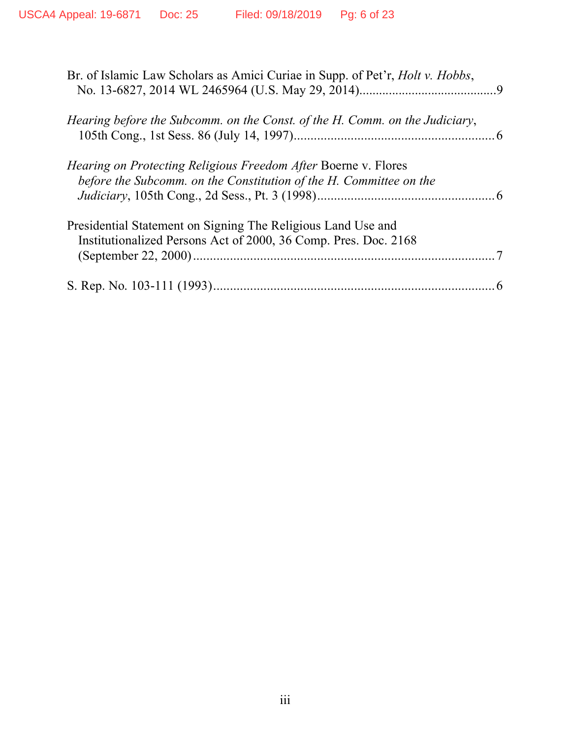| Br. of Islamic Law Scholars as Amici Curiae in Supp. of Pet'r, <i>Holt v. Hobbs</i> ,                                                       |  |
|---------------------------------------------------------------------------------------------------------------------------------------------|--|
| Hearing before the Subcomm. on the Const. of the H. Comm. on the Judiciary,                                                                 |  |
| <i>Hearing on Protecting Religious Freedom After Boerne v. Flores</i><br>before the Subcomm. on the Constitution of the H. Committee on the |  |
| Presidential Statement on Signing The Religious Land Use and<br>Institutionalized Persons Act of 2000, 36 Comp. Pres. Doc. 2168             |  |
|                                                                                                                                             |  |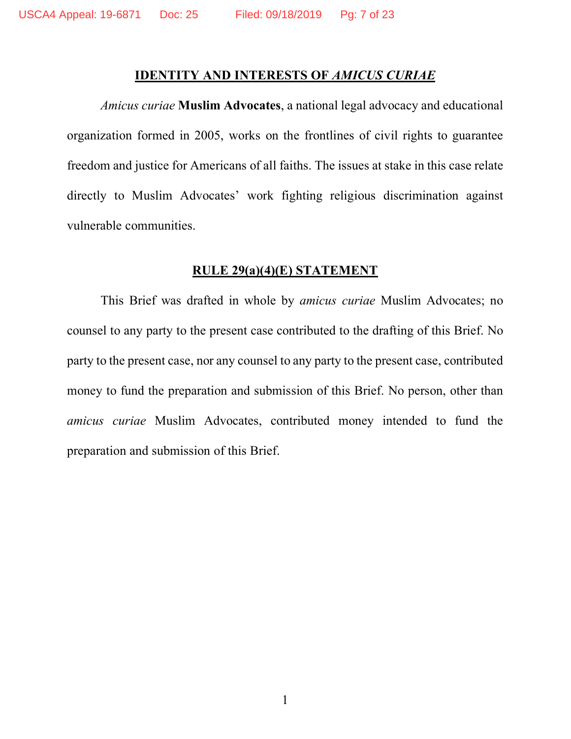### **IDENTITY AND INTERESTS OF** *AMICUS CURIAE*

*Amicus curiae* **Muslim Advocates**, a national legal advocacy and educational organization formed in 2005, works on the frontlines of civil rights to guarantee freedom and justice for Americans of all faiths. The issues at stake in this case relate directly to Muslim Advocates' work fighting religious discrimination against vulnerable communities.

#### **RULE 29(a)(4)(E) STATEMENT**

This Brief was drafted in whole by *amicus curiae* Muslim Advocates; no counsel to any party to the present case contributed to the drafting of this Brief. No party to the present case, nor any counsel to any party to the present case, contributed money to fund the preparation and submission of this Brief. No person, other than *amicus curiae* Muslim Advocates, contributed money intended to fund the preparation and submission of this Brief.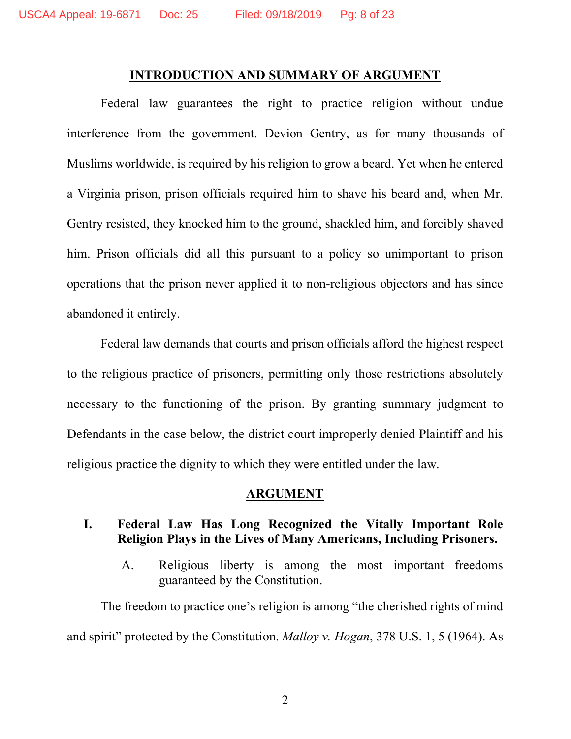#### **INTRODUCTION AND SUMMARY OF ARGUMENT**

Federal law guarantees the right to practice religion without undue interference from the government. Devion Gentry, as for many thousands of Muslims worldwide, is required by his religion to grow a beard. Yet when he entered a Virginia prison, prison officials required him to shave his beard and, when Mr. Gentry resisted, they knocked him to the ground, shackled him, and forcibly shaved him. Prison officials did all this pursuant to a policy so unimportant to prison operations that the prison never applied it to non-religious objectors and has since abandoned it entirely.

Federal law demands that courts and prison officials afford the highest respect to the religious practice of prisoners, permitting only those restrictions absolutely necessary to the functioning of the prison. By granting summary judgment to Defendants in the case below, the district court improperly denied Plaintiff and his religious practice the dignity to which they were entitled under the law.

### **ARGUMENT**

## **I. Federal Law Has Long Recognized the Vitally Important Role Religion Plays in the Lives of Many Americans, Including Prisoners.**

A. Religious liberty is among the most important freedoms guaranteed by the Constitution.

The freedom to practice one's religion is among "the cherished rights of mind and spirit" protected by the Constitution. *Malloy v. Hogan*, 378 U.S. 1, 5 (1964). As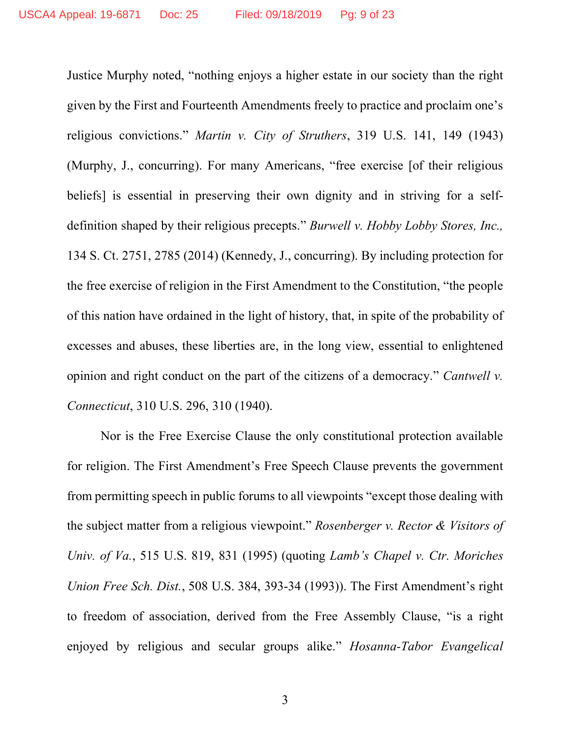Justice Murphy noted, "nothing enjoys a higher estate in our society than the right given by the First and Fourteenth Amendments freely to practice and proclaim one's religious convictions." *Martin v. City of Struthers*, 319 U.S. 141, 149 (1943) (Murphy, J., concurring). For many Americans, "free exercise [of their religious beliefs] is essential in preserving their own dignity and in striving for a selfdefinition shaped by their religious precepts." *Burwell v. Hobby Lobby Stores, Inc.,* 134 S. Ct. 2751, 2785 (2014) (Kennedy, J., concurring). By including protection for the free exercise of religion in the First Amendment to the Constitution, "the people of this nation have ordained in the light of history, that, in spite of the probability of excesses and abuses, these liberties are, in the long view, essential to enlightened opinion and right conduct on the part of the citizens of a democracy." *Cantwell v. Connecticut*, 310 U.S. 296, 310 (1940).

Nor is the Free Exercise Clause the only constitutional protection available for religion. The First Amendment's Free Speech Clause prevents the government from permitting speech in public forums to all viewpoints "except those dealing with the subject matter from a religious viewpoint." *Rosenberger v. Rector & Visitors of Univ. of Va.*, 515 U.S. 819, 831 (1995) (quoting *Lamb's Chapel v. Ctr. Moriches Union Free Sch. Dist.*, 508 U.S. 384, 393-34 (1993)). The First Amendment's right to freedom of association, derived from the Free Assembly Clause, "is a right enjoyed by religious and secular groups alike." *Hosanna-Tabor Evangelical*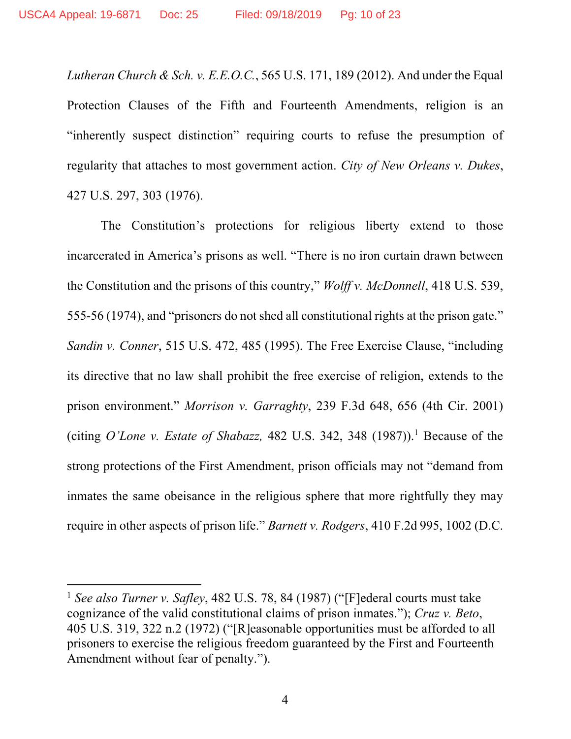*Lutheran Church & Sch. v. E.E.O.C.*, 565 U.S. 171, 189 (2012). And under the Equal Protection Clauses of the Fifth and Fourteenth Amendments, religion is an "inherently suspect distinction" requiring courts to refuse the presumption of regularity that attaches to most government action. *City of New Orleans v. Dukes*, 427 U.S. 297, 303 (1976).

The Constitution's protections for religious liberty extend to those incarcerated in America's prisons as well. "There is no iron curtain drawn between the Constitution and the prisons of this country," *Wolff v. McDonnell*, 418 U.S. 539, 555-56 (1974), and "prisoners do not shed all constitutional rights at the prison gate." *Sandin v. Conner*, 515 U.S. 472, 485 (1995). The Free Exercise Clause, "including its directive that no law shall prohibit the free exercise of religion, extends to the prison environment." *Morrison v. Garraghty*, 239 F.3d 648, 656 (4th Cir. 2001) (citing *O'Lone v. Estate of Shabazz*, 482 U.S. 342, 348  $(1987)$ ).<sup>1</sup> Because of the strong protections of the First Amendment, prison officials may not "demand from inmates the same obeisance in the religious sphere that more rightfully they may require in other aspects of prison life." *Barnett v. Rodgers*, 410 F.2d 995, 1002 (D.C.

 $\overline{a}$ 

<sup>1</sup> *See also Turner v. Safley*, 482 U.S. 78, 84 (1987) ("[F]ederal courts must take cognizance of the valid constitutional claims of prison inmates."); *Cruz v. Beto*, 405 U.S. 319, 322 n.2 (1972) ("[R]easonable opportunities must be afforded to all prisoners to exercise the religious freedom guaranteed by the First and Fourteenth Amendment without fear of penalty.").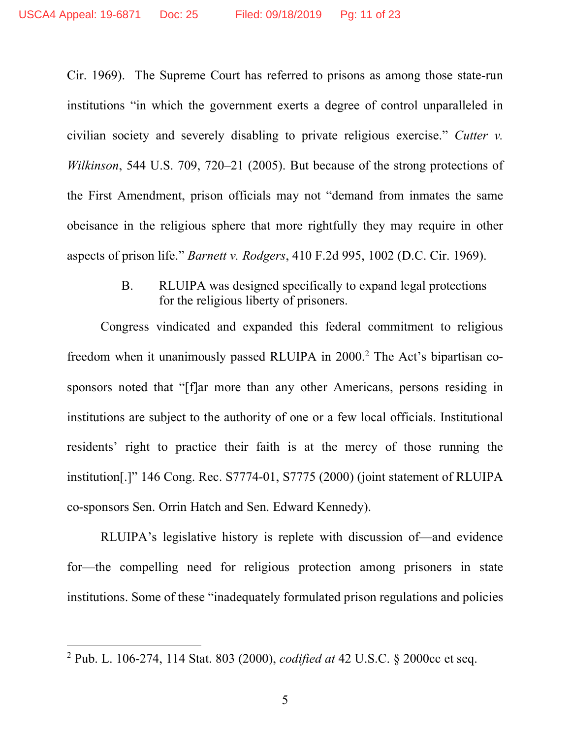Cir. 1969). The Supreme Court has referred to prisons as among those state-run institutions "in which the government exerts a degree of control unparalleled in civilian society and severely disabling to private religious exercise." *Cutter v. Wilkinson*, 544 U.S. 709, 720–21 (2005). But because of the strong protections of the First Amendment, prison officials may not "demand from inmates the same obeisance in the religious sphere that more rightfully they may require in other aspects of prison life." *Barnett v. Rodgers*, 410 F.2d 995, 1002 (D.C. Cir. 1969).

> B. RLUIPA was designed specifically to expand legal protections for the religious liberty of prisoners.

Congress vindicated and expanded this federal commitment to religious freedom when it unanimously passed RLUIPA in 2000.<sup>2</sup> The Act's bipartisan cosponsors noted that "[f]ar more than any other Americans, persons residing in institutions are subject to the authority of one or a few local officials. Institutional residents' right to practice their faith is at the mercy of those running the institution[.]" 146 Cong. Rec. S7774-01, S7775 (2000) (joint statement of RLUIPA co-sponsors Sen. Orrin Hatch and Sen. Edward Kennedy).

RLUIPA's legislative history is replete with discussion of—and evidence for—the compelling need for religious protection among prisoners in state institutions. Some of these "inadequately formulated prison regulations and policies

 $\overline{\phantom{a}}$ 

<sup>2</sup> Pub. L. 106-274, 114 Stat. 803 (2000), *codified at* 42 U.S.C. § 2000cc et seq.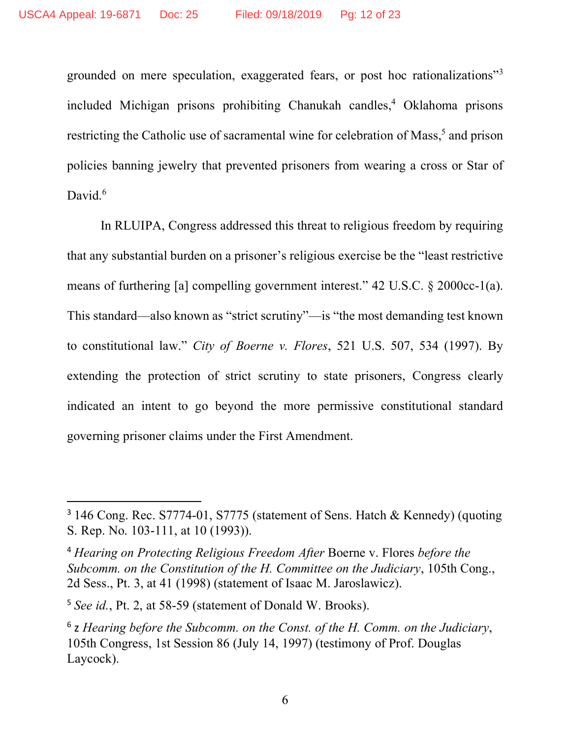grounded on mere speculation, exaggerated fears, or post hoc rationalizations"3 included Michigan prisons prohibiting Chanukah candles,4 Oklahoma prisons restricting the Catholic use of sacramental wine for celebration of Mass,<sup>5</sup> and prison policies banning jewelry that prevented prisoners from wearing a cross or Star of David. $6$ 

In RLUIPA, Congress addressed this threat to religious freedom by requiring that any substantial burden on a prisoner's religious exercise be the "least restrictive means of furthering [a] compelling government interest." 42 U.S.C. § 2000cc-1(a). This standard—also known as "strict scrutiny"—is "the most demanding test known to constitutional law." *City of Boerne v. Flores*, 521 U.S. 507, 534 (1997). By extending the protection of strict scrutiny to state prisoners, Congress clearly indicated an intent to go beyond the more permissive constitutional standard governing prisoner claims under the First Amendment.

 <sup>3</sup> 146 Cong. Rec. S7774-01, S7775 (statement of Sens. Hatch & Kennedy) (quoting S. Rep. No. 103-111, at 10 (1993)).

<sup>4</sup> *Hearing on Protecting Religious Freedom After* Boerne v. Flores *before the Subcomm. on the Constitution of the H. Committee on the Judiciary*, 105th Cong., 2d Sess., Pt. 3, at 41 (1998) (statement of Isaac M. Jaroslawicz).

<sup>5</sup> *See id.*, Pt. 2, at 58-59 (statement of Donald W. Brooks).

<sup>6</sup> z *Hearing before the Subcomm. on the Const. of the H. Comm. on the Judiciary*, 105th Congress, 1st Session 86 (July 14, 1997) (testimony of Prof. Douglas Laycock).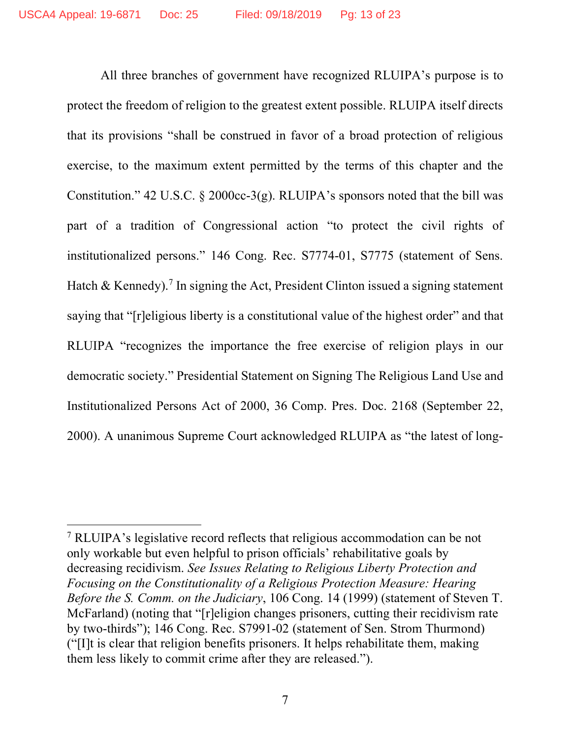All three branches of government have recognized RLUIPA's purpose is to protect the freedom of religion to the greatest extent possible. RLUIPA itself directs that its provisions "shall be construed in favor of a broad protection of religious exercise, to the maximum extent permitted by the terms of this chapter and the Constitution." 42 U.S.C. § 2000cc-3(g). RLUIPA's sponsors noted that the bill was part of a tradition of Congressional action "to protect the civil rights of institutionalized persons." 146 Cong. Rec. S7774-01, S7775 (statement of Sens. Hatch & Kennedy).<sup>7</sup> In signing the Act, President Clinton issued a signing statement saying that "[r]eligious liberty is a constitutional value of the highest order" and that RLUIPA "recognizes the importance the free exercise of religion plays in our democratic society." Presidential Statement on Signing The Religious Land Use and Institutionalized Persons Act of 2000, 36 Comp. Pres. Doc. 2168 (September 22, 2000). A unanimous Supreme Court acknowledged RLUIPA as "the latest of long-

 $\overline{a}$ 

<sup>7</sup> RLUIPA's legislative record reflects that religious accommodation can be not only workable but even helpful to prison officials' rehabilitative goals by decreasing recidivism. *See Issues Relating to Religious Liberty Protection and Focusing on the Constitutionality of a Religious Protection Measure: Hearing Before the S. Comm. on the Judiciary*, 106 Cong. 14 (1999) (statement of Steven T. McFarland) (noting that "[r]eligion changes prisoners, cutting their recidivism rate by two-thirds"); 146 Cong. Rec. S7991-02 (statement of Sen. Strom Thurmond) ("[I]t is clear that religion benefits prisoners. It helps rehabilitate them, making them less likely to commit crime after they are released.").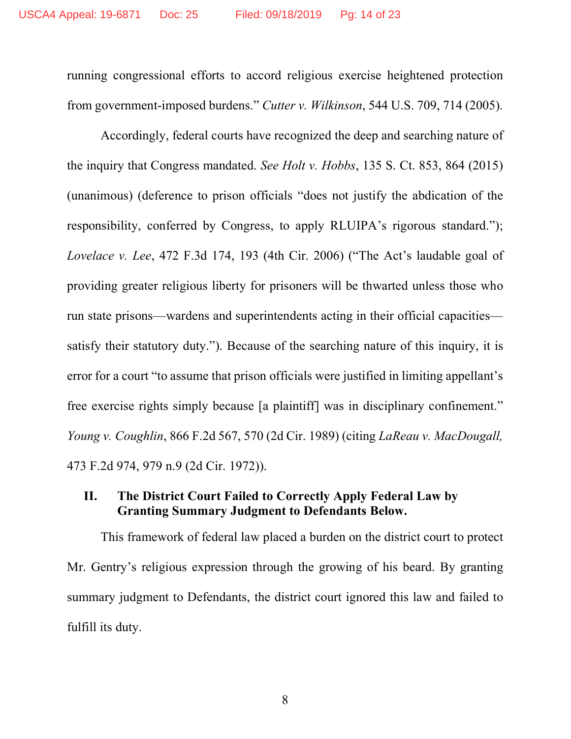running congressional efforts to accord religious exercise heightened protection from government-imposed burdens." *Cutter v. Wilkinson*, 544 U.S. 709, 714 (2005).

Accordingly, federal courts have recognized the deep and searching nature of the inquiry that Congress mandated. *See Holt v. Hobbs*, 135 S. Ct. 853, 864 (2015) (unanimous) (deference to prison officials "does not justify the abdication of the responsibility, conferred by Congress, to apply RLUIPA's rigorous standard."); *Lovelace v. Lee*, 472 F.3d 174, 193 (4th Cir. 2006) ("The Act's laudable goal of providing greater religious liberty for prisoners will be thwarted unless those who run state prisons—wardens and superintendents acting in their official capacities satisfy their statutory duty."). Because of the searching nature of this inquiry, it is error for a court "to assume that prison officials were justified in limiting appellant's free exercise rights simply because [a plaintiff] was in disciplinary confinement." *Young v. Coughlin*, 866 F.2d 567, 570 (2d Cir. 1989) (citing *LaReau v. MacDougall,* 473 F.2d 974, 979 n.9 (2d Cir. 1972)).

## **II. The District Court Failed to Correctly Apply Federal Law by Granting Summary Judgment to Defendants Below.**

This framework of federal law placed a burden on the district court to protect Mr. Gentry's religious expression through the growing of his beard. By granting summary judgment to Defendants, the district court ignored this law and failed to fulfill its duty.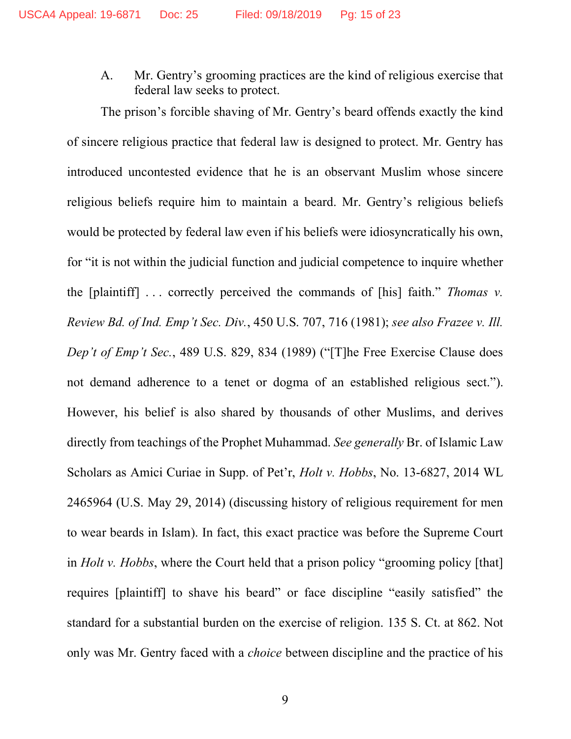A. Mr. Gentry's grooming practices are the kind of religious exercise that federal law seeks to protect.

The prison's forcible shaving of Mr. Gentry's beard offends exactly the kind of sincere religious practice that federal law is designed to protect. Mr. Gentry has introduced uncontested evidence that he is an observant Muslim whose sincere religious beliefs require him to maintain a beard. Mr. Gentry's religious beliefs would be protected by federal law even if his beliefs were idiosyncratically his own, for "it is not within the judicial function and judicial competence to inquire whether the [plaintiff] . . . correctly perceived the commands of [his] faith." *Thomas v. Review Bd. of Ind. Emp't Sec. Div.*, 450 U.S. 707, 716 (1981); *see also Frazee v. Ill. Dep't of Emp't Sec.*, 489 U.S. 829, 834 (1989) ("[T]he Free Exercise Clause does not demand adherence to a tenet or dogma of an established religious sect."). However, his belief is also shared by thousands of other Muslims, and derives directly from teachings of the Prophet Muhammad. *See generally* Br. of Islamic Law Scholars as Amici Curiae in Supp. of Pet'r, *Holt v. Hobbs*, No. 13-6827, 2014 WL 2465964 (U.S. May 29, 2014) (discussing history of religious requirement for men to wear beards in Islam). In fact, this exact practice was before the Supreme Court in *Holt v. Hobbs*, where the Court held that a prison policy "grooming policy [that] requires [plaintiff] to shave his beard" or face discipline "easily satisfied" the standard for a substantial burden on the exercise of religion. 135 S. Ct. at 862. Not only was Mr. Gentry faced with a *choice* between discipline and the practice of his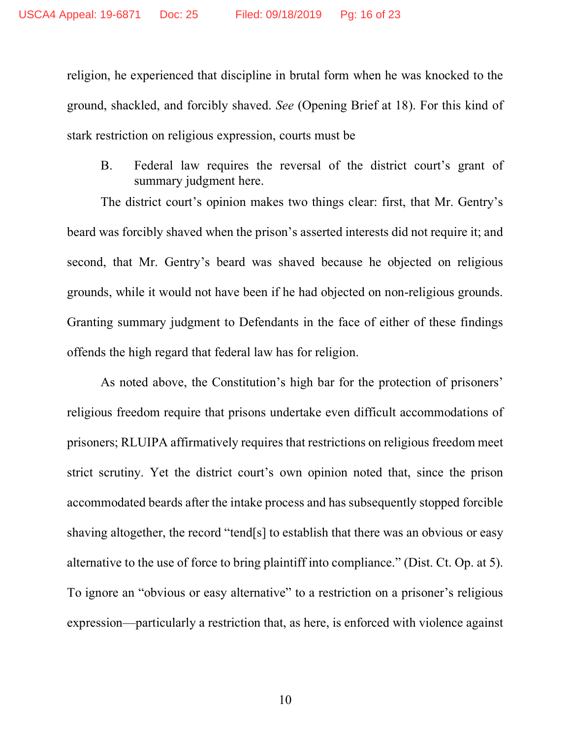religion, he experienced that discipline in brutal form when he was knocked to the ground, shackled, and forcibly shaved. *See* (Opening Brief at 18). For this kind of stark restriction on religious expression, courts must be

B. Federal law requires the reversal of the district court's grant of summary judgment here.

The district court's opinion makes two things clear: first, that Mr. Gentry's beard was forcibly shaved when the prison's asserted interests did not require it; and second, that Mr. Gentry's beard was shaved because he objected on religious grounds, while it would not have been if he had objected on non-religious grounds. Granting summary judgment to Defendants in the face of either of these findings offends the high regard that federal law has for religion.

As noted above, the Constitution's high bar for the protection of prisoners' religious freedom require that prisons undertake even difficult accommodations of prisoners; RLUIPA affirmatively requires that restrictions on religious freedom meet strict scrutiny. Yet the district court's own opinion noted that, since the prison accommodated beards after the intake process and has subsequently stopped forcible shaving altogether, the record "tend[s] to establish that there was an obvious or easy alternative to the use of force to bring plaintiff into compliance." (Dist. Ct. Op. at 5). To ignore an "obvious or easy alternative" to a restriction on a prisoner's religious expression—particularly a restriction that, as here, is enforced with violence against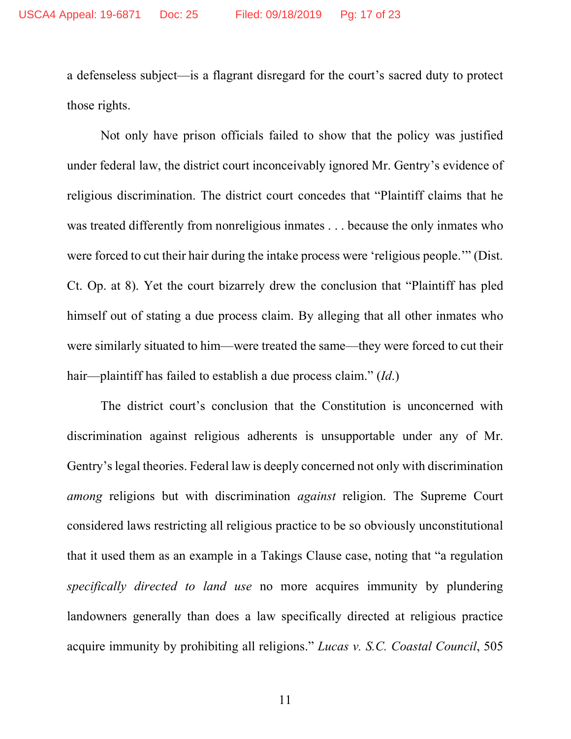a defenseless subject—is a flagrant disregard for the court's sacred duty to protect those rights.

Not only have prison officials failed to show that the policy was justified under federal law, the district court inconceivably ignored Mr. Gentry's evidence of religious discrimination. The district court concedes that "Plaintiff claims that he was treated differently from nonreligious inmates . . . because the only inmates who were forced to cut their hair during the intake process were 'religious people.'" (Dist. Ct. Op. at 8). Yet the court bizarrely drew the conclusion that "Plaintiff has pled himself out of stating a due process claim. By alleging that all other inmates who were similarly situated to him—were treated the same—they were forced to cut their hair—plaintiff has failed to establish a due process claim." (*Id*.)

The district court's conclusion that the Constitution is unconcerned with discrimination against religious adherents is unsupportable under any of Mr. Gentry's legal theories. Federal law is deeply concerned not only with discrimination *among* religions but with discrimination *against* religion. The Supreme Court considered laws restricting all religious practice to be so obviously unconstitutional that it used them as an example in a Takings Clause case, noting that "a regulation *specifically directed to land use* no more acquires immunity by plundering landowners generally than does a law specifically directed at religious practice acquire immunity by prohibiting all religions." *Lucas v. S.C. Coastal Council*, 505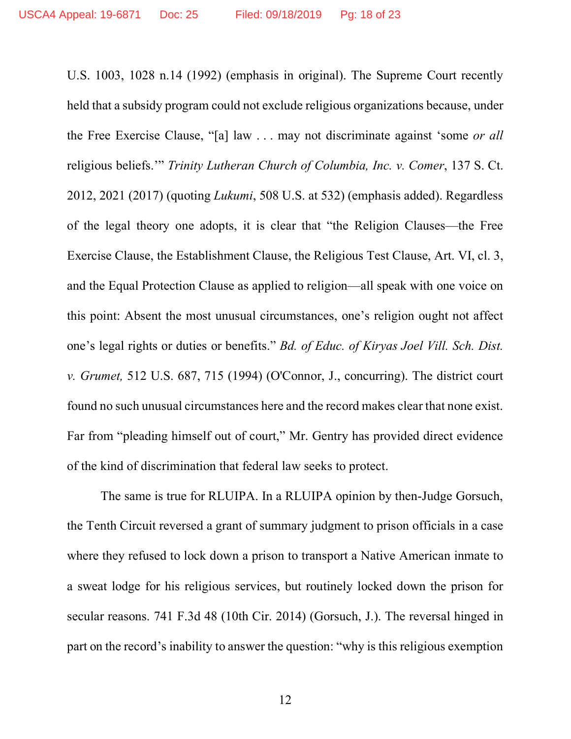U.S. 1003, 1028 n.14 (1992) (emphasis in original). The Supreme Court recently held that a subsidy program could not exclude religious organizations because, under the Free Exercise Clause, "[a] law . . . may not discriminate against 'some *or all* religious beliefs.'" *Trinity Lutheran Church of Columbia, Inc. v. Comer*, 137 S. Ct. 2012, 2021 (2017) (quoting *Lukumi*, 508 U.S. at 532) (emphasis added). Regardless of the legal theory one adopts, it is clear that "the Religion Clauses—the Free Exercise Clause, the Establishment Clause, the Religious Test Clause, Art. VI, cl. 3, and the Equal Protection Clause as applied to religion—all speak with one voice on this point: Absent the most unusual circumstances, one's religion ought not affect one's legal rights or duties or benefits." *Bd. of Educ. of Kiryas Joel Vill. Sch. Dist. v. Grumet,* 512 U.S. 687, 715 (1994) (O'Connor, J., concurring). The district court found no such unusual circumstances here and the record makes clear that none exist. Far from "pleading himself out of court," Mr. Gentry has provided direct evidence of the kind of discrimination that federal law seeks to protect.

The same is true for RLUIPA. In a RLUIPA opinion by then-Judge Gorsuch, the Tenth Circuit reversed a grant of summary judgment to prison officials in a case where they refused to lock down a prison to transport a Native American inmate to a sweat lodge for his religious services, but routinely locked down the prison for secular reasons. 741 F.3d 48 (10th Cir. 2014) (Gorsuch, J.). The reversal hinged in part on the record's inability to answer the question: "why is this religious exemption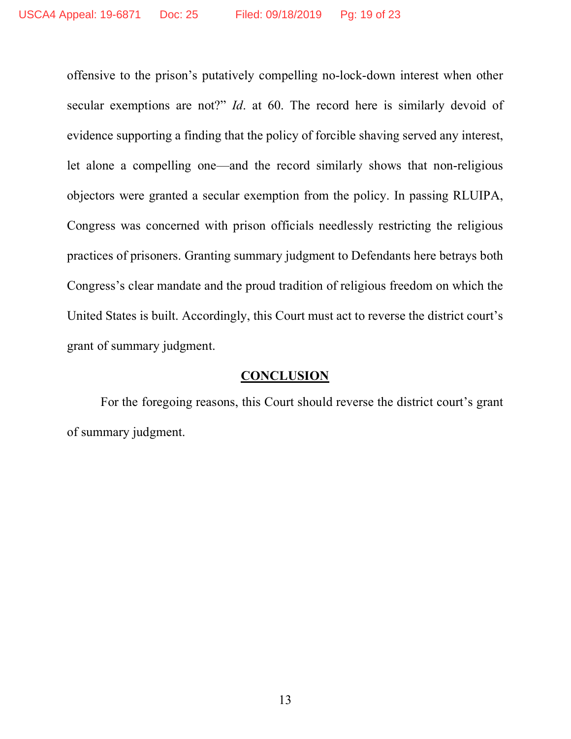offensive to the prison's putatively compelling no-lock-down interest when other secular exemptions are not?" *Id*. at 60. The record here is similarly devoid of evidence supporting a finding that the policy of forcible shaving served any interest, let alone a compelling one—and the record similarly shows that non-religious objectors were granted a secular exemption from the policy. In passing RLUIPA, Congress was concerned with prison officials needlessly restricting the religious practices of prisoners. Granting summary judgment to Defendants here betrays both Congress's clear mandate and the proud tradition of religious freedom on which the United States is built. Accordingly, this Court must act to reverse the district court's grant of summary judgment.

### **CONCLUSION**

For the foregoing reasons, this Court should reverse the district court's grant of summary judgment.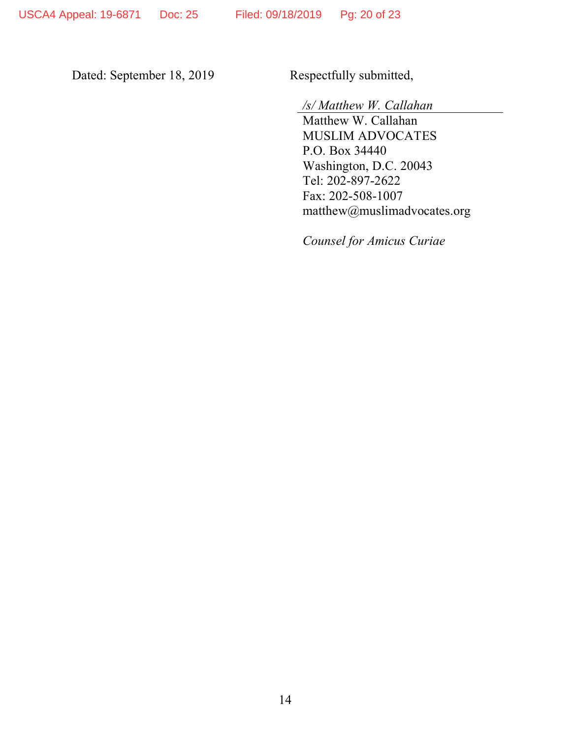Dated: September 18, 2019 Respectfully submitted,

*/s/ Matthew W. Callahan*

Matthew W. Callahan MUSLIM ADVOCATES P.O. Box 34440 Washington, D.C. 20043 Tel: 202-897-2622 Fax: 202-508-1007 matthew@muslimadvocates.org

*Counsel for Amicus Curiae*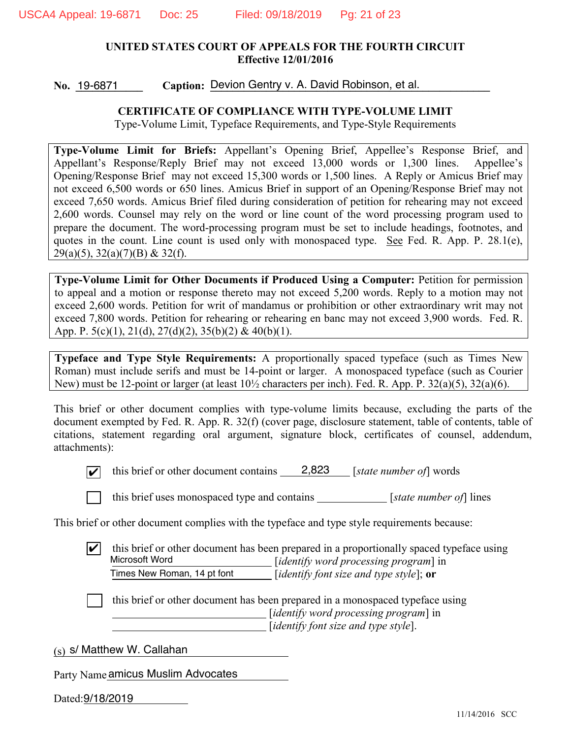#### **UNITED STATES COURT OF APPEALS FOR THE FOURTH CIRCUIT Effective 12/01/2016**

No. 19-6871 Caption: Devion Gentry v. A. David Robinson, et al. No. 19-6871

#### **CERTIFICATE OF COMPLIANCE WITH TYPE-VOLUME LIMIT**

Type-Volume Limit, Typeface Requirements, and Type-Style Requirements

**Type-Volume Limit for Briefs:** Appellant's Opening Brief, Appellee's Response Brief, and Appellant's Response/Reply Brief may not exceed 13,000 words or 1,300 lines. Appellee's Opening/Response Brief may not exceed 15,300 words or 1,500 lines. A Reply or Amicus Brief may not exceed 6,500 words or 650 lines. Amicus Brief in support of an Opening/Response Brief may not exceed 7,650 words. Amicus Brief filed during consideration of petition for rehearing may not exceed 2,600 words. Counsel may rely on the word or line count of the word processing program used to prepare the document. The word-processing program must be set to include headings, footnotes, and quotes in the count. Line count is used only with monospaced type. See Fed. R. App. P. 28.1(e), 29(a)(5), 32(a)(7)(B) & 32(f).

**Type-Volume Limit for Other Documents if Produced Using a Computer:** Petition for permission to appeal and a motion or response thereto may not exceed 5,200 words. Reply to a motion may not exceed 2,600 words. Petition for writ of mandamus or prohibition or other extraordinary writ may not exceed 7,800 words. Petition for rehearing or rehearing en banc may not exceed 3,900 words. Fed. R. App. P.  $5(c)(1)$ ,  $21(d)$ ,  $27(d)(2)$ ,  $35(b)(2)$  &  $40(b)(1)$ .

**Typeface and Type Style Requirements:** A proportionally spaced typeface (such as Times New Roman) must include serifs and must be 14-point or larger. A monospaced typeface (such as Courier New) must be 12-point or larger (at least 10½ characters per inch). Fed. R. App. P. 32(a)(5), 32(a)(6).

This brief or other document complies with type-volume limits because, excluding the parts of the document exempted by Fed. R. App. R. 32(f) (cover page, disclosure statement, table of contents, table of citations, statement regarding oral argument, signature block, certificates of counsel, addendum, attachments):



 $\blacktriangleright$  this brief or other document contains  $\blacktriangleright$  2,823 [*state number of*] words



[ ] this brief uses monospaced type and contains [*state number of*] lines

This brief or other document complies with the typeface and type style requirements because:

this brief or other document has been prepared in a proportionally spaced typeface using [*identify word processing program*] in [*identify font size and type style*]; **or**  $|v|$ Microsoft Word Times New Roman, 14 pt font

[ ] this brief or other document has been prepared in a monospaced typeface using [*identify word processing program*] in [*identify font size and type style*].

(s) s/ Matthew W. Callahan

Party Name amicus Muslim Advocates

Dated: 9/18/2019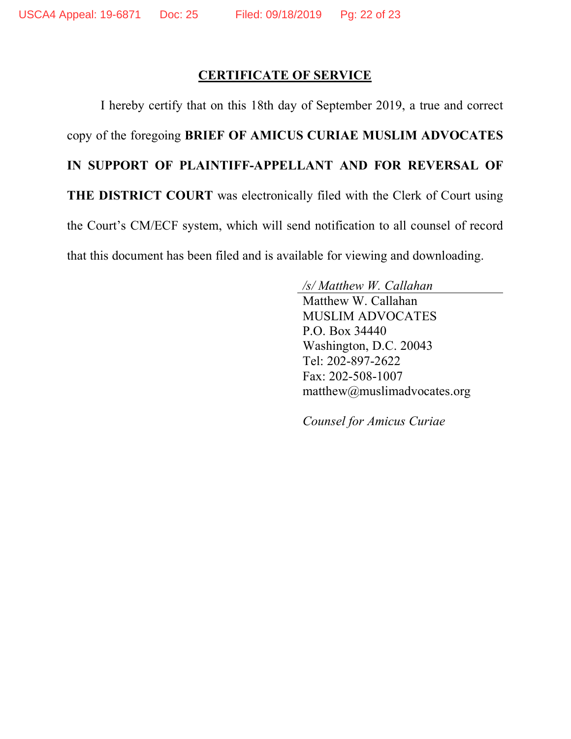### **CERTIFICATE OF SERVICE**

I hereby certify that on this 18th day of September 2019, a true and correct copy of the foregoing **BRIEF OF AMICUS CURIAE MUSLIM ADVOCATES IN SUPPORT OF PLAINTIFF-APPELLANT AND FOR REVERSAL OF THE DISTRICT COURT** was electronically filed with the Clerk of Court using the Court's CM/ECF system, which will send notification to all counsel of record that this document has been filed and is available for viewing and downloading.

> */s/ Matthew W. Callahan* Matthew W. Callahan MUSLIM ADVOCATES P.O. Box 34440 Washington, D.C. 20043 Tel: 202-897-2622 Fax: 202-508-1007 matthew@muslimadvocates.org

*Counsel for Amicus Curiae*